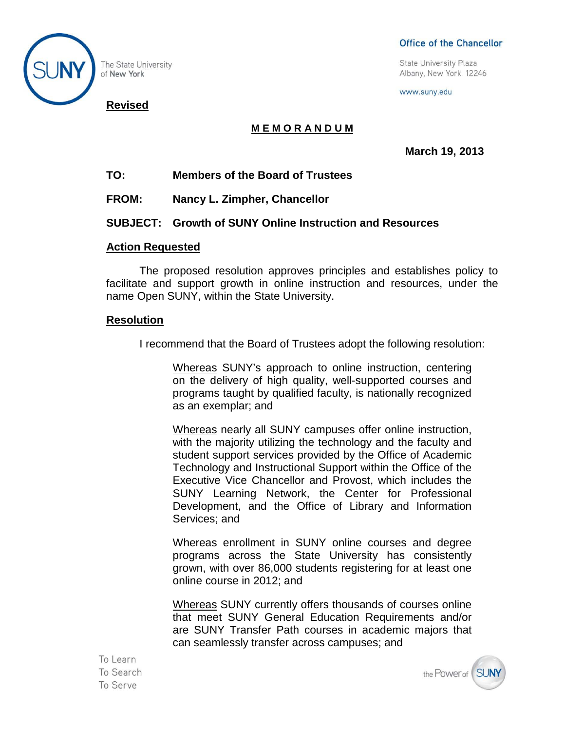

The State University of New York

### Office of the Chancellor

**State University Plaza** Albany, New York 12246

www.suny.edu

# **M E M O R A N D U M**

**March 19, 2013**

# **TO: Members of the Board of Trustees**

**FROM: Nancy L. Zimpher, Chancellor**

## **SUBJECT: Growth of SUNY Online Instruction and Resources**

### **Action Requested**

The proposed resolution approves principles and establishes policy to facilitate and support growth in online instruction and resources, under the name Open SUNY, within the State University.

#### **Resolution**

I recommend that the Board of Trustees adopt the following resolution:

Whereas SUNY's approach to online instruction, centering on the delivery of high quality, well-supported courses and programs taught by qualified faculty, is nationally recognized as an exemplar; and

Whereas nearly all SUNY campuses offer online instruction, with the majority utilizing the technology and the faculty and student support services provided by the Office of Academic Technology and Instructional Support within the Office of the Executive Vice Chancellor and Provost, which includes the SUNY Learning Network, the Center for Professional Development, and the Office of Library and Information Services; and

Whereas enrollment in SUNY online courses and degree programs across the State University has consistently grown, with over 86,000 students registering for at least one online course in 2012; and

Whereas SUNY currently offers thousands of courses online that meet SUNY General Education Requirements and/or are SUNY Transfer Path courses in academic majors that can seamlessly transfer across campuses; and

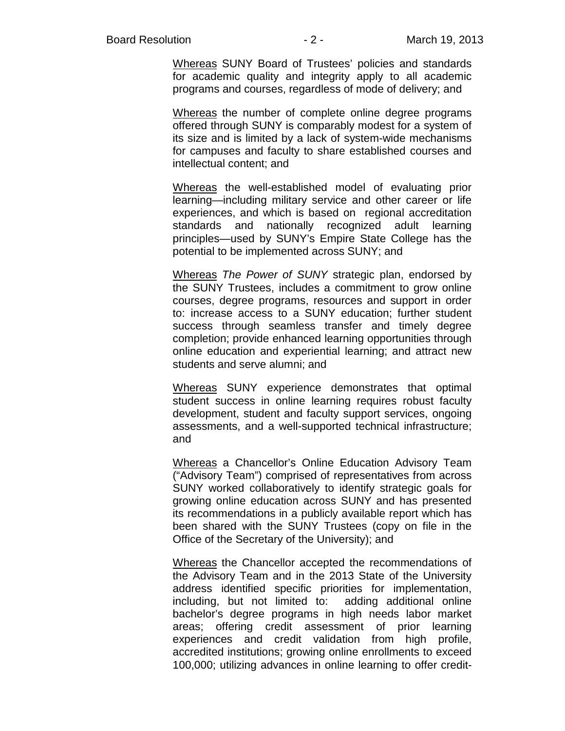Whereas SUNY Board of Trustees' policies and standards for academic quality and integrity apply to all academic programs and courses, regardless of mode of delivery; and

Whereas the number of complete online degree programs offered through SUNY is comparably modest for a system of its size and is limited by a lack of system-wide mechanisms for campuses and faculty to share established courses and intellectual content; and

Whereas the well-established model of evaluating prior learning—including military service and other career or life experiences, and which is based on regional accreditation standards and nationally recognized adult learning principles—used by SUNY's Empire State College has the potential to be implemented across SUNY; and

Whereas *The Power of SUNY* strategic plan, endorsed by the SUNY Trustees, includes a commitment to grow online courses, degree programs, resources and support in order to: increase access to a SUNY education; further student success through seamless transfer and timely degree completion; provide enhanced learning opportunities through online education and experiential learning; and attract new students and serve alumni; and

Whereas SUNY experience demonstrates that optimal student success in online learning requires robust faculty development, student and faculty support services, ongoing assessments, and a well-supported technical infrastructure; and

Whereas a Chancellor's Online Education Advisory Team ("Advisory Team") comprised of representatives from across SUNY worked collaboratively to identify strategic goals for growing online education across SUNY and has presented its recommendations in a publicly available report which has been shared with the SUNY Trustees (copy on file in the Office of the Secretary of the University); and

Whereas the Chancellor accepted the recommendations of the Advisory Team and in the 2013 State of the University address identified specific priorities for implementation, including, but not limited to: adding additional online bachelor's degree programs in high needs labor market areas; offering credit assessment of prior learning experiences and credit validation from high profile, accredited institutions; growing online enrollments to exceed 100,000; utilizing advances in online learning to offer credit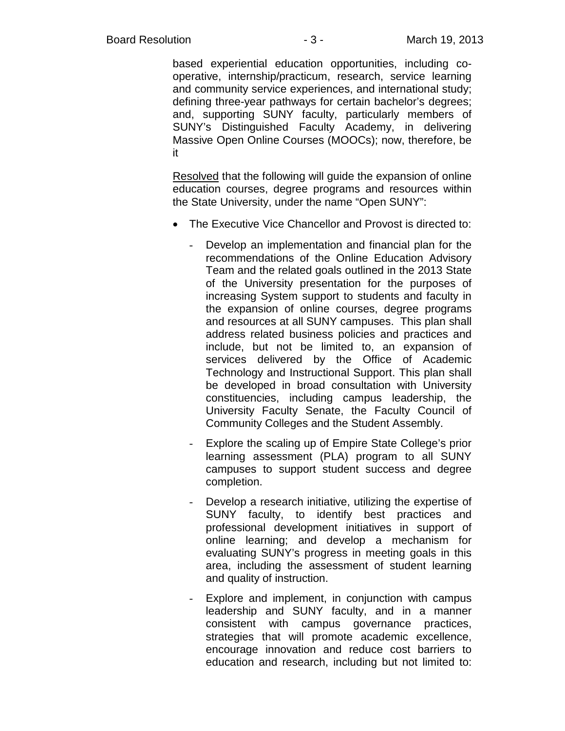based experiential education opportunities, including cooperative, internship/practicum, research, service learning and community service experiences, and international study; defining three-year pathways for certain bachelor's degrees; and, supporting SUNY faculty, particularly members of SUNY's Distinguished Faculty Academy, in delivering Massive Open Online Courses (MOOCs); now, therefore, be it

Resolved that the following will guide the expansion of online education courses, degree programs and resources within the State University, under the name "Open SUNY":

- The Executive Vice Chancellor and Provost is directed to:
	- Develop an implementation and financial plan for the recommendations of the Online Education Advisory Team and the related goals outlined in the 2013 State of the University presentation for the purposes of increasing System support to students and faculty in the expansion of online courses, degree programs and resources at all SUNY campuses. This plan shall address related business policies and practices and include, but not be limited to, an expansion of services delivered by the Office of Academic Technology and Instructional Support. This plan shall be developed in broad consultation with University constituencies, including campus leadership, the University Faculty Senate, the Faculty Council of Community Colleges and the Student Assembly.
	- Explore the scaling up of Empire State College's prior learning assessment (PLA) program to all SUNY campuses to support student success and degree completion.
	- Develop a research initiative, utilizing the expertise of SUNY faculty, to identify best practices and professional development initiatives in support of online learning; and develop a mechanism for evaluating SUNY's progress in meeting goals in this area, including the assessment of student learning and quality of instruction.
	- Explore and implement, in conjunction with campus leadership and SUNY faculty, and in a manner consistent with campus governance practices, strategies that will promote academic excellence, encourage innovation and reduce cost barriers to education and research, including but not limited to: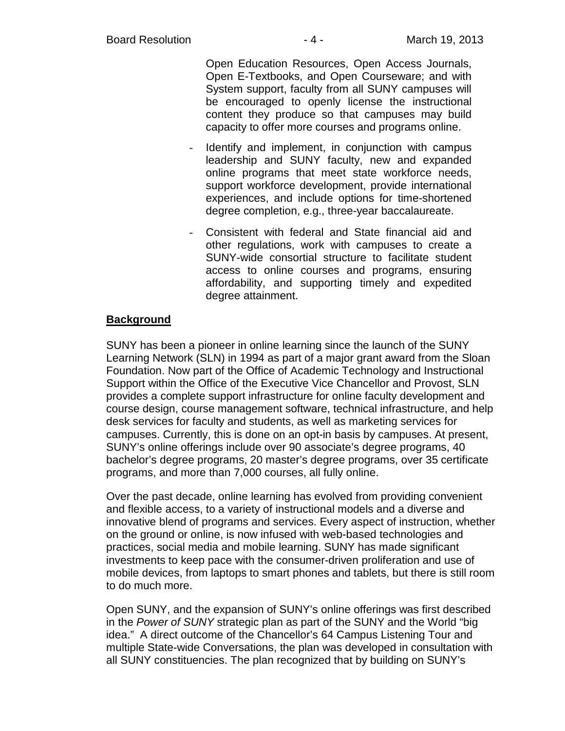Open Education Resources, Open Access Journals, Open E-Textbooks, and Open Courseware; and with System support, faculty from all SUNY campuses will be encouraged to openly license the instructional content they produce so that campuses may build capacity to offer more courses and programs online.

- Identify and implement, in conjunction with campus leadership and SUNY faculty, new and expanded online programs that meet state workforce needs, support workforce development, provide international experiences, and include options for time-shortened degree completion, e.g., three-year baccalaureate.
- Consistent with federal and State financial aid and other regulations, work with campuses to create a SUNY-wide consortial structure to facilitate student access to online courses and programs, ensuring affordability, and supporting timely and expedited degree attainment.

# **Background**

SUNY has been a pioneer in online learning since the launch of the SUNY Learning Network (SLN) in 1994 as part of a major grant award from the Sloan Foundation. Now part of the Office of Academic Technology and Instructional Support within the Office of the Executive Vice Chancellor and Provost, SLN provides a complete support infrastructure for online faculty development and course design, course management software, technical infrastructure, and help desk services for faculty and students, as well as marketing services for campuses. Currently, this is done on an opt-in basis by campuses. At present, SUNY's online offerings include over 90 associate's degree programs, 40 bachelor's degree programs, 20 master's degree programs, over 35 certificate programs, and more than 7,000 courses, all fully online.

Over the past decade, online learning has evolved from providing convenient and flexible access, to a variety of instructional models and a diverse and innovative blend of programs and services. Every aspect of instruction, whether on the ground or online, is now infused with web-based technologies and practices, social media and mobile learning. SUNY has made significant investments to keep pace with the consumer-driven proliferation and use of mobile devices, from laptops to smart phones and tablets, but there is still room to do much more.

Open SUNY, and the expansion of SUNY's online offerings was first described in the *Power of SUNY* strategic plan as part of the SUNY and the World "big idea." A direct outcome of the Chancellor's 64 Campus Listening Tour and multiple State-wide Conversations, the plan was developed in consultation with all SUNY constituencies. The plan recognized that by building on SUNY's